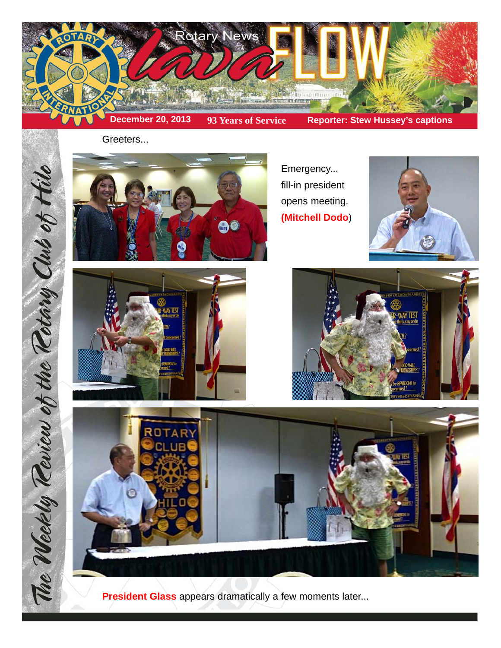

Greeters...



Emergency... fill-in president opens meeting. **(Mitchell Dodo**)









**President Glass** appears dramatically a few moments later...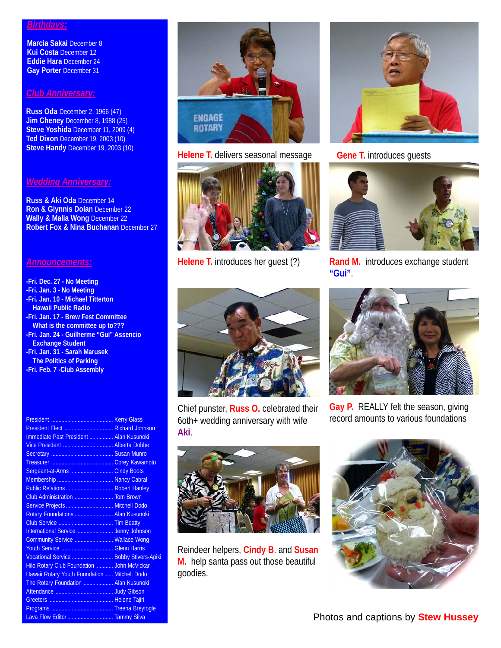## *Birthdays:*

**Marcia Sakai** December 8 **Kui Costa** December 12 **Eddie Hara** December 24 **Gay Porter** December 31

## *Club Anniversary:*

**Russ Oda** December 2, 1966 (47) **Jim Cheney** December 8, 1988 (25) **Steve Yoshida** December 11, 2009 (4) **Ted Dixon** December 19, 2003 (10) **Steve Handy** December 19, 2003 (10)

## *Wedding Anniversary:*

**Russ & Aki Oda** December 14 **Ron & Glynnis Dolan** December 22 **Wally & Malia Wong** December 22 **Robert Fox & Nina Buchanan** December 27

## *Announcements:*

- **-Fri. Dec. 27 No Meeting -Fri. Jan. 3 - No Meeting -Fri. Jan. 10 - Michael Titterton Hawaii Public Radio -Fri. Jan. 17 - Brew Fest Committee What is the committee up to??? -Fri. Jan. 24 - Guilherme "Gui" Assencio Exchange Student -Fri. Jan. 31 - Sarah Marusek The Politics of Parking**
- **-Fri. Feb. 7 -Club Assembly**

| President Elect  Richard Johnson              |  |
|-----------------------------------------------|--|
| Immediate Past President  Alan Kusunoki       |  |
|                                               |  |
|                                               |  |
|                                               |  |
| Sergeant-at-Arms  Cindy Boots                 |  |
|                                               |  |
| Public Relations  Robert Hanley               |  |
| Club Administration  Tom Brown                |  |
| Service Projects  Mitchell Dodo               |  |
| Rotary Foundations  Alan Kusunoki             |  |
|                                               |  |
| International Service  Jenny Johnson          |  |
| Community Service  Wallace Wong               |  |
|                                               |  |
| Vocational Service  Bobby Stivers-Apiki       |  |
| Hilo Rotary Club Foundation  John McVickar    |  |
| Hawaii Rotary Youth Foundation  Mitchell Dodo |  |
| The Rotary Foundation  Alan Kusunoki          |  |
|                                               |  |
|                                               |  |
|                                               |  |
| Lava Flow Editor  Tammy Silva                 |  |



**Helene T.** delivers seasonal message **Gene T.** introduces guests







**Helene T.** introduces her guest (?) **Rand M.** introduces exchange student **"Gui"**.



Chief punster, **Russ O.** celebrated their 6oth+ wedding anniversary with wife **Aki**.



Reindeer helpers, **Cindy B**. and **Susan M.** help santa pass out those beautiful goodies.



**Gay P.** REALLY felt the season, giving record amounts to various foundations